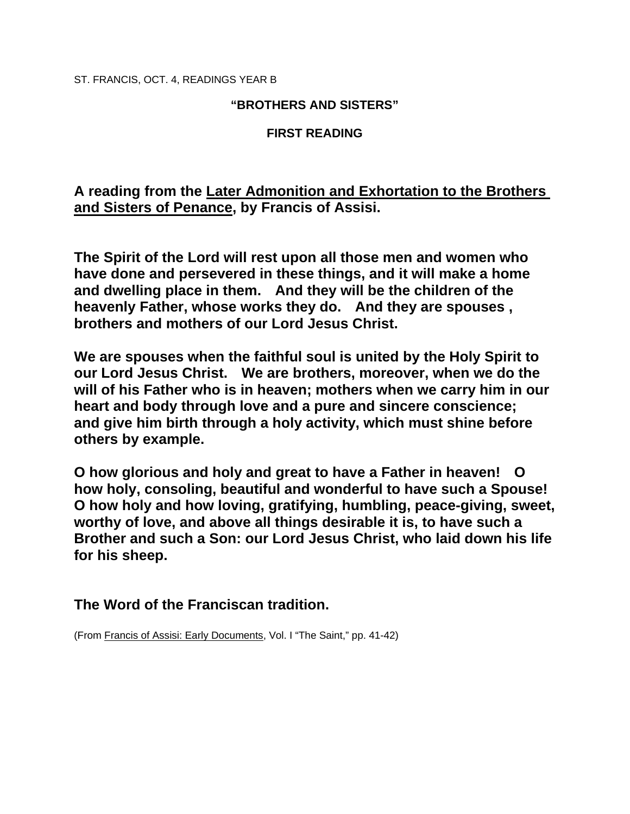ST. FRANCIS, OCT. 4, READINGS YEAR B

## **"BROTHERS AND SISTERS"**

## **FIRST READING**

**A reading from the Later Admonition and Exhortation to the Brothers and Sisters of Penance, by Francis of Assisi.** 

**The Spirit of the Lord will rest upon all those men and women who have done and persevered in these things, and it will make a home and dwelling place in them. And they will be the children of the heavenly Father, whose works they do. And they are spouses , brothers and mothers of our Lord Jesus Christ.** 

**We are spouses when the faithful soul is united by the Holy Spirit to our Lord Jesus Christ. We are brothers, moreover, when we do the will of his Father who is in heaven; mothers when we carry him in our heart and body through love and a pure and sincere conscience; and give him birth through a holy activity, which must shine before others by example.** 

**O how glorious and holy and great to have a Father in heaven! O how holy, consoling, beautiful and wonderful to have such a Spouse! O how holy and how loving, gratifying, humbling, peace-giving, sweet, worthy of love, and above all things desirable it is, to have such a Brother and such a Son: our Lord Jesus Christ, who laid down his life for his sheep.** 

**The Word of the Franciscan tradition.** 

(From Francis of Assisi: Early Documents, Vol. I "The Saint," pp. 41-42)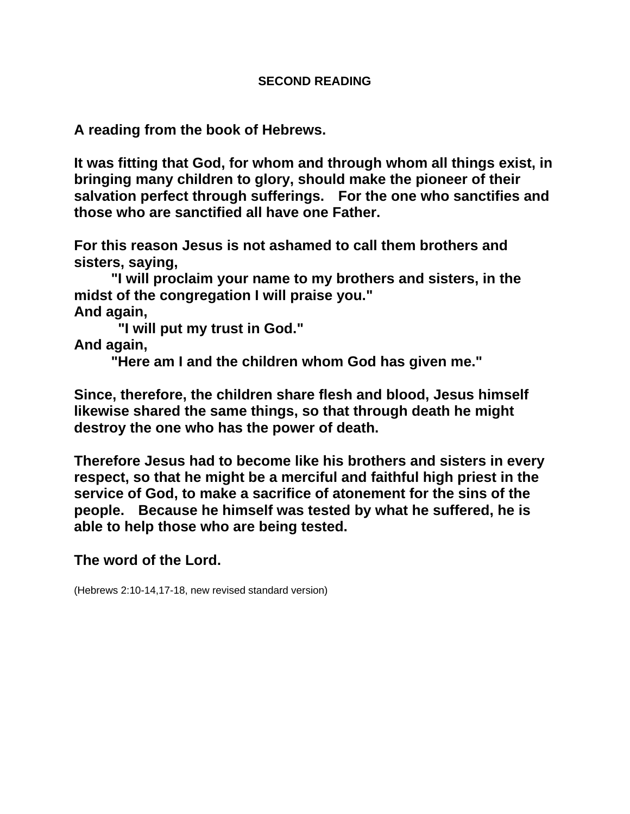## **SECOND READING**

**A reading from the book of Hebrews.** 

**It was fitting that God, for whom and through whom all things exist, in bringing many children to glory, should make the pioneer of their salvation perfect through sufferings. For the one who sanctifies and those who are sanctified all have one Father.** 

**For this reason Jesus is not ashamed to call them brothers and sisters, saying,** 

 **"I will proclaim your name to my brothers and sisters, in the midst of the congregation I will praise you."** 

**And again,** 

 **"I will put my trust in God."** 

**And again,** 

 **"Here am I and the children whom God has given me."** 

**Since, therefore, the children share flesh and blood, Jesus himself likewise shared the same things, so that through death he might destroy the one who has the power of death.** 

**Therefore Jesus had to become like his brothers and sisters in every respect, so that he might be a merciful and faithful high priest in the service of God, to make a sacrifice of atonement for the sins of the people. Because he himself was tested by what he suffered, he is able to help those who are being tested.** 

**The word of the Lord.** 

(Hebrews 2:10-14,17-18, new revised standard version)